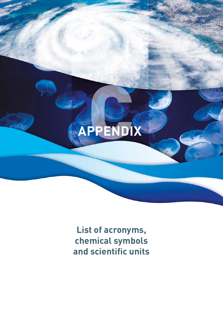## APPENDIX

List of acronyms, chemical symbols and scientific units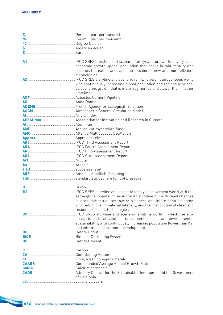| € ……………………………………………………………………Euro                 |                                                                          |
|--------------------------------------------------|--------------------------------------------------------------------------|
|                                                  |                                                                          |
|                                                  |                                                                          |
|                                                  | economic growth, global population that peaks in mid-century and         |
|                                                  | declines thereafter, and rapid introduction of new and more efficient    |
|                                                  | technologies                                                             |
|                                                  | IPCC SRES storyline and scenario family: a very heterogeneous world      |
|                                                  | with continuously increasing global population and regionally orient-    |
|                                                  | ed economic growth that is more fragmented and slower than in other      |
|                                                  | storylines                                                               |
|                                                  |                                                                          |
|                                                  |                                                                          |
|                                                  |                                                                          |
|                                                  |                                                                          |
|                                                  |                                                                          |
|                                                  |                                                                          |
| AL AL AL ALLEY AND ALLEY ALLEY AND THE ALLEY AVE |                                                                          |
|                                                  |                                                                          |
|                                                  |                                                                          |
|                                                  |                                                                          |
|                                                  |                                                                          |
|                                                  |                                                                          |
|                                                  |                                                                          |
|                                                  |                                                                          |
|                                                  |                                                                          |
| As <b>Marinah Maria American Arsenic</b> Arsenic |                                                                          |
|                                                  |                                                                          |
|                                                  |                                                                          |
|                                                  |                                                                          |
|                                                  |                                                                          |
|                                                  |                                                                          |
|                                                  |                                                                          |
|                                                  | same global population as in the A1 storyline but with rapid changes     |
|                                                  | in economic structures toward a service and information economy,         |
|                                                  | with reductions in material intensity, and the introduction of clean and |
|                                                  | resource-efficient technologies                                          |
|                                                  | .IPCC SRES storyline and scenario family: a world in which the em-       |
|                                                  | phasis is on local solutions to economic, social, and environmental      |
|                                                  | sustainability, with continuously increasing population (lower than A2)  |
|                                                  | and intermediate economic development.                                   |
|                                                  |                                                                          |
|                                                  |                                                                          |
|                                                  |                                                                          |
|                                                  |                                                                          |
|                                                  |                                                                          |
|                                                  |                                                                          |
|                                                  |                                                                          |
|                                                  |                                                                          |
|                                                  |                                                                          |
|                                                  |                                                                          |
|                                                  | of Catalonia                                                             |
|                                                  |                                                                          |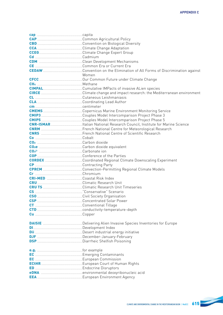| cap <b>cap</b> capita                    |       |
|------------------------------------------|-------|
|                                          |       |
|                                          |       |
|                                          |       |
|                                          |       |
|                                          |       |
|                                          |       |
|                                          |       |
|                                          |       |
|                                          |       |
|                                          | Women |
|                                          |       |
|                                          |       |
|                                          |       |
|                                          |       |
|                                          |       |
|                                          |       |
|                                          |       |
|                                          |       |
|                                          |       |
|                                          |       |
|                                          |       |
|                                          |       |
|                                          |       |
|                                          |       |
|                                          |       |
|                                          |       |
|                                          |       |
|                                          |       |
|                                          |       |
|                                          |       |
|                                          |       |
|                                          |       |
| CRI-MED <b>Manual Coastal Risk Index</b> |       |
|                                          |       |
|                                          |       |
|                                          |       |
|                                          |       |
|                                          |       |
|                                          |       |
|                                          |       |
|                                          |       |
|                                          |       |
|                                          |       |
|                                          |       |
|                                          |       |
|                                          |       |
|                                          |       |
|                                          |       |
|                                          |       |
|                                          |       |
|                                          |       |
|                                          |       |
|                                          |       |
|                                          |       |
|                                          |       |
|                                          |       |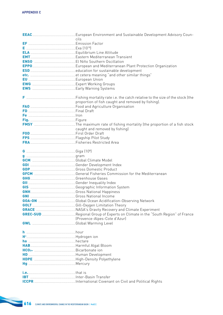| cils<br>proportion of fish caught and removed by fishing).<br>caught and removed by fishing)<br>G <b>Carried Contract Contract Contract Contract Contract Contract Contract Contract Contract Contract Contract Contract Contract Contract Contract Contract Contract Contract Contract Contract Contract Contract Contract Cont</b><br>(Provence-Alpes-Cote d'Azur) |  |
|----------------------------------------------------------------------------------------------------------------------------------------------------------------------------------------------------------------------------------------------------------------------------------------------------------------------------------------------------------------------|--|
|                                                                                                                                                                                                                                                                                                                                                                      |  |
|                                                                                                                                                                                                                                                                                                                                                                      |  |
|                                                                                                                                                                                                                                                                                                                                                                      |  |
|                                                                                                                                                                                                                                                                                                                                                                      |  |
|                                                                                                                                                                                                                                                                                                                                                                      |  |
|                                                                                                                                                                                                                                                                                                                                                                      |  |
|                                                                                                                                                                                                                                                                                                                                                                      |  |
|                                                                                                                                                                                                                                                                                                                                                                      |  |
|                                                                                                                                                                                                                                                                                                                                                                      |  |
|                                                                                                                                                                                                                                                                                                                                                                      |  |
|                                                                                                                                                                                                                                                                                                                                                                      |  |
|                                                                                                                                                                                                                                                                                                                                                                      |  |
|                                                                                                                                                                                                                                                                                                                                                                      |  |
|                                                                                                                                                                                                                                                                                                                                                                      |  |
|                                                                                                                                                                                                                                                                                                                                                                      |  |
|                                                                                                                                                                                                                                                                                                                                                                      |  |
|                                                                                                                                                                                                                                                                                                                                                                      |  |
|                                                                                                                                                                                                                                                                                                                                                                      |  |
|                                                                                                                                                                                                                                                                                                                                                                      |  |
|                                                                                                                                                                                                                                                                                                                                                                      |  |
|                                                                                                                                                                                                                                                                                                                                                                      |  |
|                                                                                                                                                                                                                                                                                                                                                                      |  |
|                                                                                                                                                                                                                                                                                                                                                                      |  |
|                                                                                                                                                                                                                                                                                                                                                                      |  |
|                                                                                                                                                                                                                                                                                                                                                                      |  |
|                                                                                                                                                                                                                                                                                                                                                                      |  |
|                                                                                                                                                                                                                                                                                                                                                                      |  |
|                                                                                                                                                                                                                                                                                                                                                                      |  |
|                                                                                                                                                                                                                                                                                                                                                                      |  |
|                                                                                                                                                                                                                                                                                                                                                                      |  |
|                                                                                                                                                                                                                                                                                                                                                                      |  |
|                                                                                                                                                                                                                                                                                                                                                                      |  |
|                                                                                                                                                                                                                                                                                                                                                                      |  |
|                                                                                                                                                                                                                                                                                                                                                                      |  |
|                                                                                                                                                                                                                                                                                                                                                                      |  |
|                                                                                                                                                                                                                                                                                                                                                                      |  |
|                                                                                                                                                                                                                                                                                                                                                                      |  |
|                                                                                                                                                                                                                                                                                                                                                                      |  |
|                                                                                                                                                                                                                                                                                                                                                                      |  |
|                                                                                                                                                                                                                                                                                                                                                                      |  |
|                                                                                                                                                                                                                                                                                                                                                                      |  |
|                                                                                                                                                                                                                                                                                                                                                                      |  |
|                                                                                                                                                                                                                                                                                                                                                                      |  |
|                                                                                                                                                                                                                                                                                                                                                                      |  |
|                                                                                                                                                                                                                                                                                                                                                                      |  |
|                                                                                                                                                                                                                                                                                                                                                                      |  |
|                                                                                                                                                                                                                                                                                                                                                                      |  |
|                                                                                                                                                                                                                                                                                                                                                                      |  |
|                                                                                                                                                                                                                                                                                                                                                                      |  |
|                                                                                                                                                                                                                                                                                                                                                                      |  |
|                                                                                                                                                                                                                                                                                                                                                                      |  |
|                                                                                                                                                                                                                                                                                                                                                                      |  |
|                                                                                                                                                                                                                                                                                                                                                                      |  |
|                                                                                                                                                                                                                                                                                                                                                                      |  |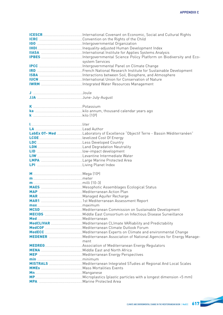|                                                                                                                                                                                                                                | system Services |
|--------------------------------------------------------------------------------------------------------------------------------------------------------------------------------------------------------------------------------|-----------------|
|                                                                                                                                                                                                                                |                 |
|                                                                                                                                                                                                                                |                 |
|                                                                                                                                                                                                                                |                 |
|                                                                                                                                                                                                                                |                 |
|                                                                                                                                                                                                                                |                 |
|                                                                                                                                                                                                                                |                 |
|                                                                                                                                                                                                                                |                 |
|                                                                                                                                                                                                                                |                 |
|                                                                                                                                                                                                                                |                 |
|                                                                                                                                                                                                                                |                 |
|                                                                                                                                                                                                                                |                 |
|                                                                                                                                                                                                                                |                 |
|                                                                                                                                                                                                                                |                 |
|                                                                                                                                                                                                                                |                 |
| Lawrence and the contract of the contract of the contract of the contract of the contract of the contract of the contract of the contract of the contract of the contract of the contract of the contract of the contract of t |                 |
|                                                                                                                                                                                                                                |                 |
|                                                                                                                                                                                                                                |                 |
|                                                                                                                                                                                                                                |                 |
|                                                                                                                                                                                                                                |                 |
|                                                                                                                                                                                                                                |                 |
|                                                                                                                                                                                                                                |                 |
|                                                                                                                                                                                                                                |                 |
|                                                                                                                                                                                                                                |                 |
|                                                                                                                                                                                                                                |                 |
|                                                                                                                                                                                                                                |                 |
|                                                                                                                                                                                                                                |                 |
|                                                                                                                                                                                                                                |                 |
|                                                                                                                                                                                                                                |                 |
|                                                                                                                                                                                                                                |                 |
|                                                                                                                                                                                                                                |                 |
|                                                                                                                                                                                                                                |                 |
|                                                                                                                                                                                                                                |                 |
|                                                                                                                                                                                                                                |                 |
|                                                                                                                                                                                                                                |                 |
|                                                                                                                                                                                                                                |                 |
|                                                                                                                                                                                                                                |                 |
|                                                                                                                                                                                                                                |                 |
|                                                                                                                                                                                                                                |                 |
|                                                                                                                                                                                                                                |                 |
|                                                                                                                                                                                                                                |                 |
|                                                                                                                                                                                                                                |                 |
|                                                                                                                                                                                                                                | ment            |
|                                                                                                                                                                                                                                |                 |
|                                                                                                                                                                                                                                |                 |
|                                                                                                                                                                                                                                |                 |
|                                                                                                                                                                                                                                |                 |
|                                                                                                                                                                                                                                |                 |
|                                                                                                                                                                                                                                |                 |
|                                                                                                                                                                                                                                |                 |
|                                                                                                                                                                                                                                |                 |
|                                                                                                                                                                                                                                |                 |
|                                                                                                                                                                                                                                |                 |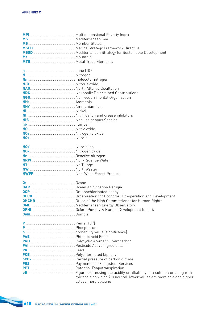| N <sub>2</sub> 0 <b>M20 M20 M20 M20 M20 M20 M20 M20 M20 M20 M20 M20 M20 M20 M20 M20 M20 M20 M20 M20 M20 M20 M20 M20 M20 M20 M20 M20 M20 M20 M20 M20 M20 M20 M20 M20</b> |                                                                                                |
|-------------------------------------------------------------------------------------------------------------------------------------------------------------------------|------------------------------------------------------------------------------------------------|
|                                                                                                                                                                         |                                                                                                |
|                                                                                                                                                                         |                                                                                                |
|                                                                                                                                                                         |                                                                                                |
|                                                                                                                                                                         |                                                                                                |
|                                                                                                                                                                         |                                                                                                |
|                                                                                                                                                                         |                                                                                                |
|                                                                                                                                                                         |                                                                                                |
|                                                                                                                                                                         |                                                                                                |
|                                                                                                                                                                         |                                                                                                |
|                                                                                                                                                                         |                                                                                                |
|                                                                                                                                                                         |                                                                                                |
|                                                                                                                                                                         |                                                                                                |
|                                                                                                                                                                         |                                                                                                |
|                                                                                                                                                                         |                                                                                                |
|                                                                                                                                                                         |                                                                                                |
|                                                                                                                                                                         |                                                                                                |
|                                                                                                                                                                         |                                                                                                |
|                                                                                                                                                                         |                                                                                                |
|                                                                                                                                                                         |                                                                                                |
|                                                                                                                                                                         |                                                                                                |
|                                                                                                                                                                         |                                                                                                |
|                                                                                                                                                                         |                                                                                                |
|                                                                                                                                                                         |                                                                                                |
|                                                                                                                                                                         |                                                                                                |
|                                                                                                                                                                         |                                                                                                |
|                                                                                                                                                                         |                                                                                                |
|                                                                                                                                                                         |                                                                                                |
|                                                                                                                                                                         |                                                                                                |
|                                                                                                                                                                         |                                                                                                |
|                                                                                                                                                                         |                                                                                                |
|                                                                                                                                                                         |                                                                                                |
|                                                                                                                                                                         |                                                                                                |
|                                                                                                                                                                         |                                                                                                |
|                                                                                                                                                                         |                                                                                                |
|                                                                                                                                                                         |                                                                                                |
|                                                                                                                                                                         |                                                                                                |
|                                                                                                                                                                         |                                                                                                |
|                                                                                                                                                                         |                                                                                                |
|                                                                                                                                                                         |                                                                                                |
|                                                                                                                                                                         |                                                                                                |
|                                                                                                                                                                         | mic scale on which 7 is neutral, lower values are more acid and higher<br>values more alkaline |